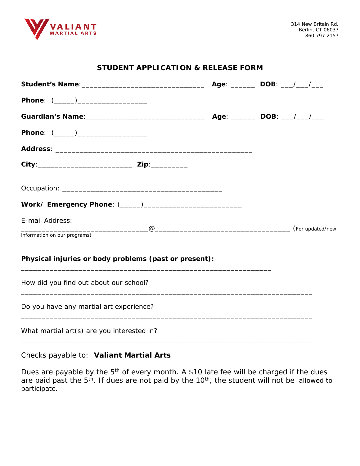

#### **STUDENT APPLICATION & RELEASE FORM**

| Phone: (_____)_________________                       |  |  |
|-------------------------------------------------------|--|--|
|                                                       |  |  |
| Phone: (_____)___________________                     |  |  |
|                                                       |  |  |
|                                                       |  |  |
|                                                       |  |  |
|                                                       |  |  |
| E-mail Address:                                       |  |  |
| information on our programs)                          |  |  |
| Physical injuries or body problems (past or present): |  |  |
| How did you find out about our school?                |  |  |
| Do you have any martial art experience?               |  |  |
| What martial art(s) are you interested in?            |  |  |

Checks payable to: **Valiant Martial Arts**

Dues are payable by the 5<sup>th</sup> of every month. A \$10 late fee will be charged if the dues are paid past the 5<sup>th</sup>. If dues are not paid by the 10<sup>th</sup>, the student will not be allowed to participate.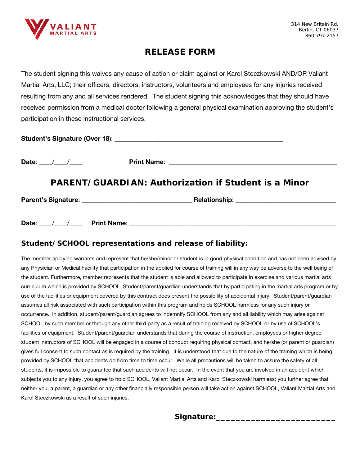

## **RELEASE FORM**

The student signing this waives any cause of action or claim against or Karol Steczkowski AND/OR Valiant Martial Arts, LLC; their officers, directors, instructors, volunteers and employees for any injuries received resulting from any and all services rendered. The student signing this acknowledges that they should have received permission from a medical doctor following a general physical examination approving the student's participation in these instructional services.

| <b>Student's Signature (Over 18):</b> |  |
|---------------------------------------|--|
|                                       |  |

Date: \_\_\_\_/\_\_\_\_/\_\_\_\_ Print Name: \_\_\_\_\_\_\_\_\_\_\_\_\_\_\_\_\_\_\_\_\_\_\_\_\_\_\_\_\_\_\_\_\_\_\_\_\_\_\_\_\_\_\_\_\_\_\_\_\_\_\_\_

### **PARENT/GUARDIAN: Authorization if Student is a Minor**

Parent's Signature: \_\_\_\_\_\_\_\_\_\_\_\_\_\_\_\_\_\_\_\_\_\_\_\_\_\_\_\_\_\_\_\_\_\_ Relationship: \_\_\_\_\_\_\_\_\_\_\_\_\_\_\_\_\_\_\_\_\_\_\_\_\_\_\_\_\_\_\_

| <b>Date</b> | <b>Print Name:</b> |  |
|-------------|--------------------|--|
|             |                    |  |

#### *Student/SCHOOL representations and release of liability:*

The member applying warrants and represent that he/she/minor or student is in good physical condition and has not been advised by any Physician or Medical Facility that participation in the applied for course of training will in any way be adverse to the well being of the student. Furthermore, member represents that the student is able and allowed to participate in exercise and various martial arts curriculum which is provided by SCHOOL. Student/parent/guardian understands that by participating in the martial arts program or by use of the facilities or equipment covered by this contract does present the possibility of accidental injury. Student/parent/guardian assumes all risk associated with such participation within this program and holds SCHOOL harmless for any such injury or occurrence. In addition, student/parent/guardian agrees to indemnify SCHOOL from any and all liability which may arise against SCHOOL by such member or through any other third party as a result of training received by SCHOOL or by use of SCHOOL's facilities or equipment. Student/parent/guardian understands that during the course of instruction, employees or higher degree student instructors of SCHOOL will be engaged in a course of conduct requiring physical contact, and he/she (or parent or guardian) gives full consent to such contact as is required by the training. It is understood that due to the nature of the training which is being provided by SCHOOL that accidents do from time to time occur. While all precautions will be taken to assure the safety of all students, it is impossible to guarantee that such accidents will not occur. In the event that you are involved in an accident which subjects you to any injury, you agree to hold SCHOOL, Valiant Martial Arts and Karol Steczkowski harmless; you further agree that neither you, a parent, a guardian or any other financially responsible person will take action against SCHOOL, Valiant Martial Arts and Karol Steczkowski as a result of such injuries.

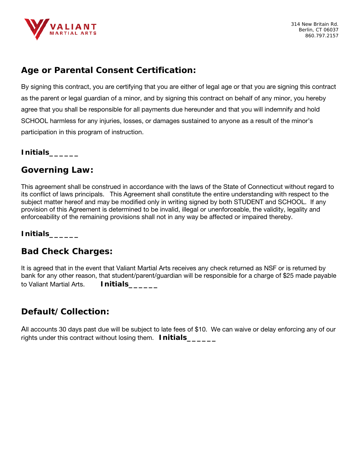

# *Age or Parental Consent Certification:*

By signing this contract, you are certifying that you are either of legal age or that you are signing this contract as the parent or legal guardian of a minor, and by signing this contract on behalf of any minor, you hereby agree that you shall be responsible for all payments due hereunder and that you will indemnify and hold SCHOOL harmless for any injuries, losses, or damages sustained to anyone as a result of the minor's participation in this program of instruction.

#### **Initials\_\_\_\_\_\_**

### *Governing Law:*

This agreement shall be construed in accordance with the laws of the State of Connecticut without regard to its conflict of laws principals. This Agreement shall constitute the entire understanding with respect to the subject matter hereof and may be modified only in writing signed by both STUDENT and SCHOOL. If any provision of this Agreement is determined to be invalid, illegal or unenforceable, the validity, legality and enforceability of the remaining provisions shall not in any way be affected or impaired thereby.

**Initials\_\_\_\_\_\_**

# *Bad Check Charges:*

It is agreed that in the event that Valiant Martial Arts receives any check returned as NSF or is returned by bank for any other reason, that student/parent/guardian will be responsible for a charge of \$25 made payable to Valiant Martial Arts. **Initials\_\_\_\_\_\_** 

# *Default/Collection:*

All accounts 30 days past due will be subject to late fees of \$10. We can waive or delay enforcing any of our rights under this contract without losing them. **Initials\_\_\_\_\_\_**